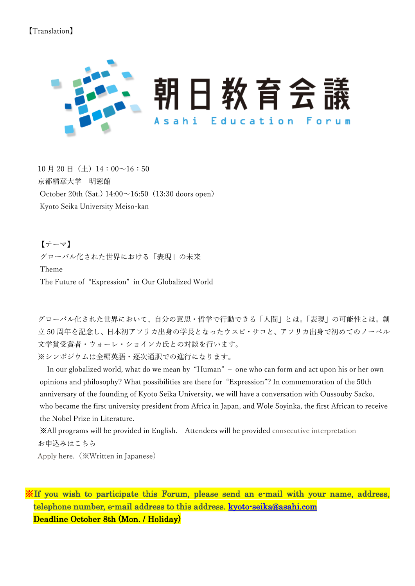## 【Translation】



 $10$  月 20 日(土)  $14:00~16:50$ 京都精華大学 明窓館 October 20th (Sat.) 14:00~16:50(13:30 doors open) Kyoto Seika University Meiso-kan

【テーマ】 グローバル化された世界における「表現」の未来 Theme The Future of "Expression" in Our Globalized World

グローバル化された世界において、自分の意思・哲学で行動できる「人間」とは。「表現」の可能性とは。創 立 50 周年を記念し、日本初アフリカ出身の学長となったウスビ・サコと、アフリカ出身で初めてのノーベル 文学賞受賞者・ウォーレ・ショインカ氏との対談を行います。 ※シンポジウムは全編英語・逐次通訳での進行になります。

 In our globalized world, what do we mean by "Human" – one who can form and act upon his or her own opinions and philosophy? What possibilities are there for "Expression"? In commemoration of the 50th anniversary of the founding of Kyoto Seika University, we will have a conversation with Oussouby Sacko, who became the first university president from Africa in Japan, and Wole Soyinka, the first African to receive the Nobel Prize in Literature.

※All programs will be provided in English. Attendees will be provided consecutive interpretation お申込みはこちら

[Apply](https://ejje.weblio.jp/content/Apply) here.(※Written in Japanese)

※If you wish to participate this Forum, please send an e-mail with your name, address, telephone number, e-mail address to this address. [kyoto-seika@asahi.com](mailto:kyoto-seika@asahi.com)  Deadline October 8th (Mon. / Holiday)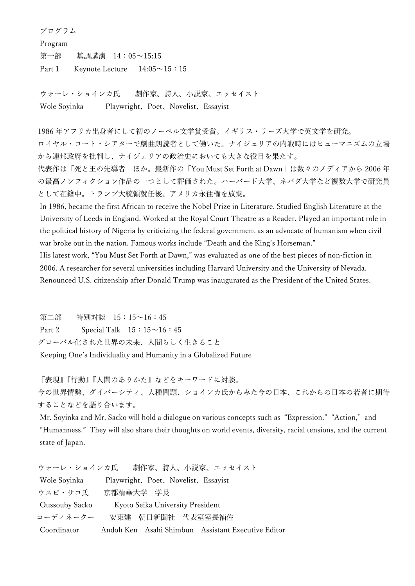プログラム Program 第一部 基調講演 14:05~15:15 Part 1 Keynote Lecture  $14:05 \sim 15:15$ 

ウォーレ・ショインカ氏 劇作家、詩人、小説家、エッセイスト Wole Soyinka Playwright、Poet、Novelist、Essayist

1986 年アフリカ出身者にして初のノーベル文学賞受賞。イギリス・リーズ大学で英文学を研究。 ロイヤル・コート・シアターで劇曲朗読者として働いた。ナイジェリアの内戦時にはヒューマニズムの立場 から連邦政府を批判し、ナイジェリアの政治史においても大きな役目を果たす。 代表作は「死と王の先導者」ほか。最新作の「You Must Set Forth at Dawn」は数々のメディアから 2006 年 の最高ノンフィクション作品の一つとして評価された。ハーバード大学、ネバダ大学など複数大学で研究員 として在籍中。トランプ大統領就任後、アメリカ永住権を放棄。 In 1986, became the first African to receive the Nobel Prize in Literature. Studied English Literature at the

University of Leeds in England. Worked at the Royal Court Theatre as a Reader. Played an important role in the political history of Nigeria by criticizing the federal government as an advocate of humanism when civil war broke out in the nation. Famous works include "Death and the King's Horseman."

His latest work, "You Must Set Forth at Dawn," was evaluated as one of the best pieces of non-fiction in 2006. A researcher for several universities including Harvard University and the University of Nevada. Renounced U.S. citizenship after Donald Trump was inaugurated as the President of the United States.

第二部 特別対談 15:15~16:45 Part 2 Special Talk  $15:15~16:45$ グローバル化された世界の未来、人間らしく生きること Keeping One's Individuality and Humanity in a Globalized Future

『表現』『行動』『人間のありかた』などをキーワードに対談。 今の世界情勢、ダイバーシティ、人種問題、ショインカ氏からみた今の日本、これからの日本の若者に期待 することなどを語り合います。

Mr. Soyinka and Mr. Sacko will hold a dialogue on various concepts such as "Expression," "Action," and "Humanness." They will also share their thoughts on world events, diversity, racial tensions, and the current state of Japan.

| ウォーレ・ショインカ氏    | 劇作家、詩人、小説家、エッセイスト                                  |
|----------------|----------------------------------------------------|
| Wole Soyinka   | Playwright, Poet, Novelist, Essayist               |
| ウスビ・サコ氏        | 京都精華大学 学長                                          |
| Oussouby Sacko | Kyoto Seika University President                   |
| コーディネーター       | 安東建 朝日新聞社 代表室室長補佐                                  |
| Coordinator    | Andoh Ken Asahi Shimbun Assistant Executive Editor |